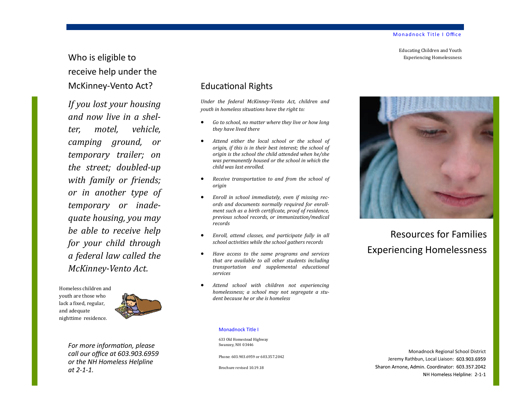Educating Children and Youth Experiencing Homelessness

# Who is eligible to receive help under the McKinney-Vento Act?

*If you lost your housing and now live in a shelter, motel, vehicle, camping ground, or temporary trailer; on the street; doubled-up with family or friends; or in another type of temporary or inadequate housing, you may be able to receive help for your child through a federal law called the McKinney-Vento Act.*

Homeless children and youth are those who lack a fixed, regular, and adequate nighttime residence.



*For more information, please call our office at 603.903.6959 or the NH Homeless Helpline at 2-1-1.*

## Educational Rights

*Under the federal McKinney-Vento Act, children and youth in homeless situations have the right to:*

- *Go to school, no matter where they live or how long they have lived there*
- *Attend either the local school or the school of origin, if this is in their best interest; the school of origin is the school the child attended when he/she was permanently housed or the school in which the child was last enrolled.*
- *Receive transportation to and from the school of origin*
- *Enroll in school immediately, even if missing records and documents normally required for enrollment such as a birth certificate, proof of residence, previous school records, or immunization/medical records*
- *Enroll, attend classes, and participate fully in all school activities while the school gathers records*
- *Have access to the same programs and services that are available to all other students including transportation and supplemental educational services*
- *Attend school with children not experiencing homelessness; a school may not segregate a student because he or she is homeless*



Resources for Families Experiencing Homelessness

#### Monadnock Title I

633 Old Homestead Highway Swanzey, NH 03446

Phone: 603.903.6959 or 603.357.2042

Brochure revised 10.19.18

Monadnock Regional School District Jeremy Rathbun, Local Liaison: 603.903.6959 Sharon Arnone, Admin. Coordinator: 603.357.2042 NH Homeless Helpline: 2-1-1